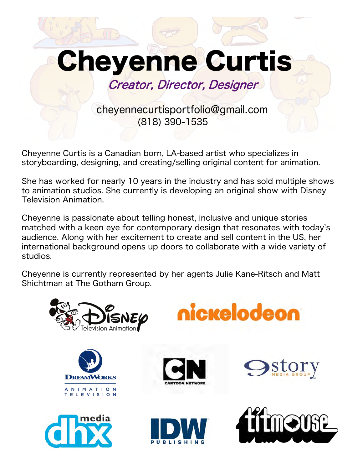

Cheyenne Curtis is a Canadian born, LA-based artist who specializes in storyboarding, designing, and creating/selling original content for animation.

She has worked for nearly 10 years in the industry and has sold multiple shows to animation studios. She currently is developing an original show with Disney Television Animation.

Cheyenne is passionate about telling honest, inclusive and unique stories matched with a keen eye for contemporary design that resonates with today's audience. Along with her excitement to create and sell content in the US, her international background opens up doors to collaborate with a wide variety of studios.

Cheyenne is currently represented by her agents Julie Kane-Ritsch and Matt Shichtman at The Gotham Group.

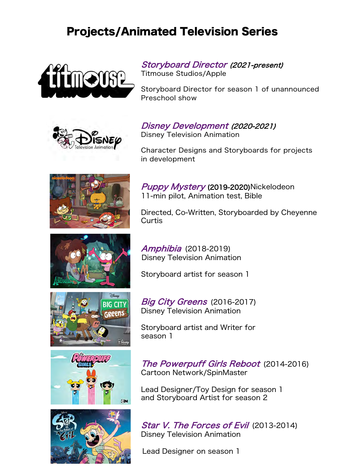## Projects/Animated Television Series





Storyboard Director (2021-present)

Titmouse Studios/Apple

Storyboard Director for season 1 of unannounced Preschool show

Disney Development (2020-2021) Disney Television Animation

Character Designs and Storyboards for projects in development



Puppy Mystery (2019-2020)Nickelodeon 11-min pilot, Animation test, Bible

Directed, Co-Written, Storyboarded by Cheyenne Curtis



Storyboard artist for season 1







Big City Greens (2016-2017) Disney Television Animation

Storyboard artist and Writer for season 1

The Powerpuff Girls Reboot (2014-2016) Cartoon Network/SpinMaster

Lead Designer/Toy Design for season 1 and Storyboard Artist for season 2

Star V. The Forces of Evil (2013-2014) Disney Television Animation

Lead Designer on season 1